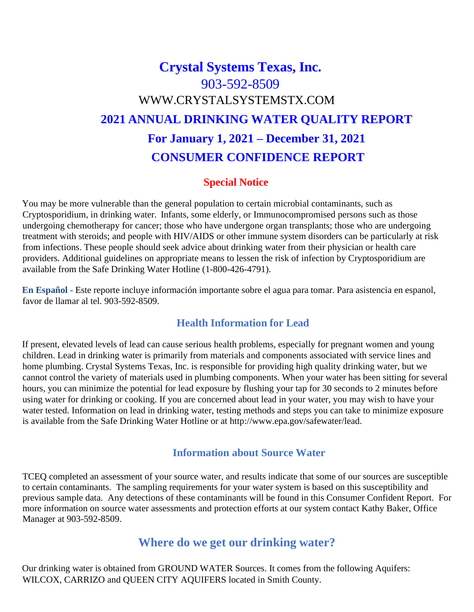# **Crystal Systems Texas, Inc.** 903-592-8509 [WWW.CRYSTALSYSTEMSTX.COM](http://www.crystalsystemstx.com/) **2021 ANNUAL DRINKING WATER QUALITY REPORT For January 1, 2021 – December 31, 2021 CONSUMER CONFIDENCE REPORT**

#### **Special Notice**

You may be more vulnerable than the general population to certain microbial contaminants, such as Cryptosporidium, in drinking water. Infants, some elderly, or Immunocompromised persons such as those undergoing chemotherapy for cancer; those who have undergone organ transplants; those who are undergoing treatment with steroids; and people with HIV/AIDS or other immune system disorders can be particularly at risk from infections. These people should seek advice about drinking water from their physician or health care providers. Additional guidelines on appropriate means to lessen the risk of infection by Cryptosporidium are available from the Safe Drinking Water Hotline (1-800-426-4791).

**En Español -** Este reporte incluye información importante sobre el agua para tomar. Para asistencia en espanol, favor de llamar al tel. 903-592-8509.

#### **Health Information for Lead**

If present, elevated levels of lead can cause serious health problems, especially for pregnant women and young children. Lead in drinking water is primarily from materials and components associated with service lines and home plumbing. Crystal Systems Texas, Inc. is responsible for providing high quality drinking water, but we cannot control the variety of materials used in plumbing components. When your water has been sitting for several hours, you can minimize the potential for lead exposure by flushing your tap for 30 seconds to 2 minutes before using water for drinking or cooking. If you are concerned about lead in your water, you may wish to have your water tested. Information on lead in drinking water, testing methods and steps you can take to minimize exposure is available from the Safe Drinking Water Hotline or at [http://www.epa.gov/safewater/lead.](http://www.epa.gov/safewater/lead)

#### **Information about Source Water**

TCEQ completed an assessment of your source water, and results indicate that some of our sources are susceptible to certain contaminants. The sampling requirements for your water system is based on this susceptibility and previous sample data. Any detections of these contaminants will be found in this Consumer Confident Report. For more information on source water assessments and protection efforts at our system contact Kathy Baker, Office Manager at 903-592-8509.

## **Where do we get our drinking water?**

Our drinking water is obtained from GROUND WATER Sources. It comes from the following Aquifers: WILCOX, CARRIZO and QUEEN CITY AQUIFERS located in Smith County.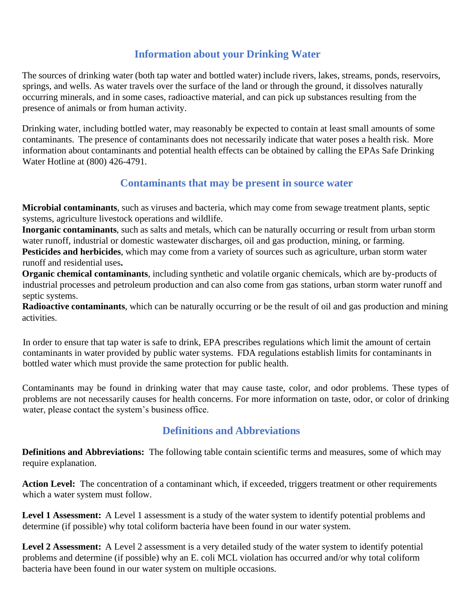## **Information about your Drinking Water**

The sources of drinking water (both tap water and bottled water) include rivers, lakes, streams, ponds, reservoirs, springs, and wells. As water travels over the surface of the land or through the ground, it dissolves naturally occurring minerals, and in some cases, radioactive material, and can pick up substances resulting from the presence of animals or from human activity.

Drinking water, including bottled water, may reasonably be expected to contain at least small amounts of some contaminants. The presence of contaminants does not necessarily indicate that water poses a health risk. More information about contaminants and potential health effects can be obtained by calling the EPAs Safe Drinking Water Hotline at (800) 426-4791.

#### **Contaminants that may be present in source water**

**Microbial contaminants**, such as viruses and bacteria, which may come from sewage treatment plants, septic systems, agriculture livestock operations and wildlife.

**Inorganic contaminants**, such as salts and metals, which can be naturally occurring or result from urban storm water runoff, industrial or domestic wastewater discharges, oil and gas production, mining, or farming.

**Pesticides and herbicides**, which may come from a variety of sources such as agriculture, urban storm water runoff and residential uses**.**

**Organic chemical contaminants**, including synthetic and volatile organic chemicals, which are by-products of industrial processes and petroleum production and can also come from gas stations, urban storm water runoff and septic systems.

**Radioactive contaminants**, which can be naturally occurring or be the result of oil and gas production and mining activities.

In order to ensure that tap water is safe to drink, EPA prescribes regulations which limit the amount of certain contaminants in water provided by public water systems. FDA regulations establish limits for contaminants in bottled water which must provide the same protection for public health.

Contaminants may be found in drinking water that may cause taste, color, and odor problems. These types of problems are not necessarily causes for health concerns. For more information on taste, odor, or color of drinking water, please contact the system's business office.

#### **Definitions and Abbreviations**

**Definitions and Abbreviations:** The following table contain scientific terms and measures, some of which may require explanation.

Action Level: The concentration of a contaminant which, if exceeded, triggers treatment or other requirements which a water system must follow.

**Level 1 Assessment:** A Level 1 assessment is a study of the water system to identify potential problems and determine (if possible) why total coliform bacteria have been found in our water system.

**Level 2 Assessment:** A Level 2 assessment is a very detailed study of the water system to identify potential problems and determine (if possible) why an E. coli MCL violation has occurred and/or why total coliform bacteria have been found in our water system on multiple occasions.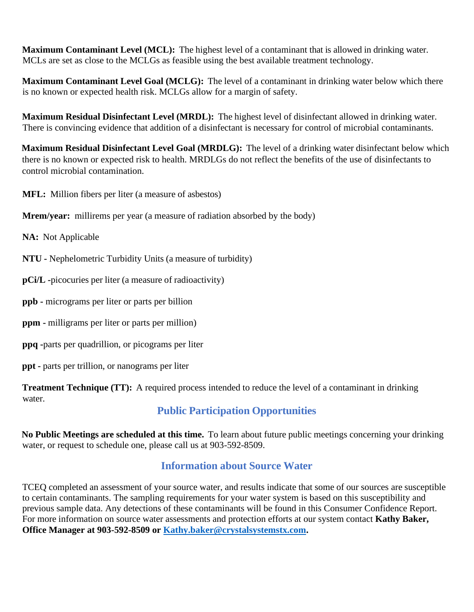**Maximum Contaminant Level (MCL):** The highest level of a contaminant that is allowed in drinking water. MCLs are set as close to the MCLGs as feasible using the best available treatment technology.

**Maximum Contaminant Level Goal (MCLG):** The level of a contaminant in drinking water below which there is no known or expected health risk. MCLGs allow for a margin of safety.

**Maximum Residual Disinfectant Level (MRDL):** The highest level of disinfectant allowed in drinking water. There is convincing evidence that addition of a disinfectant is necessary for control of microbial contaminants.

**Maximum Residual Disinfectant Level Goal (MRDLG):** The level of a drinking water disinfectant below which there is no known or expected risk to health. MRDLGs do not reflect the benefits of the use of disinfectants to control microbial contamination.

**MFL:** Million fibers per liter (a measure of asbestos)

**Mrem/year:** millirems per year (a measure of radiation absorbed by the body)

**NA:** Not Applicable

**NTU -** Nephelometric Turbidity Units (a measure of turbidity)

**pCi/L -**picocuries per liter (a measure of radioactivity)

**ppb -** micrograms per liter or parts per billion

**ppm -** milligrams per liter or parts per million)

**ppq -**parts per quadrillion, or picograms per liter

**ppt -** parts per trillion, or nanograms per liter

**Treatment Technique (TT):** A required process intended to reduce the level of a contaminant in drinking water.

## **Public Participation Opportunities**

**No Public Meetings are scheduled at this time.** To learn about future public meetings concerning your drinking water, or request to schedule one, please call us at 903-592-8509.

## **Information about Source Water**

TCEQ completed an assessment of your source water, and results indicate that some of our sources are susceptible to certain contaminants. The sampling requirements for your water system is based on this susceptibility and previous sample data. Any detections of these contaminants will be found in this Consumer Confidence Report. For more information on source water assessments and protection efforts at our system contact **Kathy Baker, Office Manager at 903-592-8509 or [Kathy.baker@crystalsystemstx.com.](mailto:Kathy.baker@crystalsystemstx.com)**